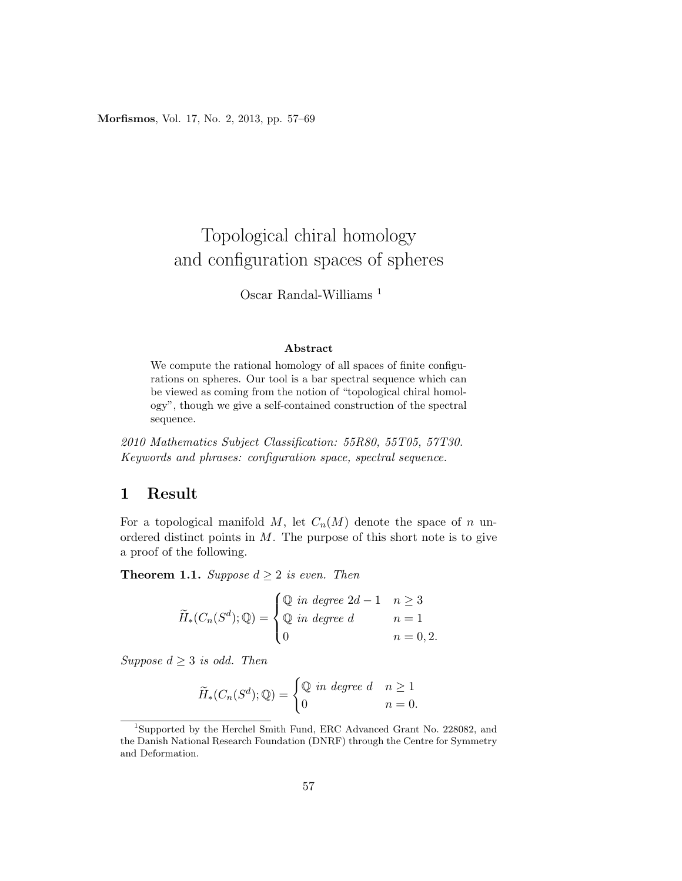Morfismos, Vol. 17, No. 2, 2013, pp. 57–69

# Topological chiral homology and configuration spaces of spheres

## Oscar Randal-Williams <sup>1</sup>

#### Abstract

We compute the rational homology of all spaces of finite configurations on spheres. Our tool is a bar spectral sequence which can be viewed as coming from the notion of "topological chiral homology", though we give a self-contained construction of the spectral sequence.

2010 Mathematics Subject Classification: 55R80, 55T05, 57T30. Keywords and phrases: configuration space, spectral sequence.

## 1 Result

For a topological manifold  $M$ , let  $C_n(M)$  denote the space of n unordered distinct points in  $M$ . The purpose of this short note is to give a proof of the following.

**Theorem 1.1.** Suppose  $d \geq 2$  is even. Then

$$
\widetilde{H}_*(C_n(S^d); \mathbb{Q}) = \begin{cases} \mathbb{Q} & \text{in degree } 2d - 1 & n \ge 3 \\ \mathbb{Q} & \text{in degree } d & n = 1 \\ 0 & n = 0, 2. \end{cases}
$$

Suppose  $d \geq 3$  is odd. Then

$$
\widetilde{H}_*(C_n(S^d); \mathbb{Q}) = \begin{cases} \mathbb{Q} & \text{in degree } d & n \ge 1 \\ 0 & n = 0. \end{cases}
$$

 $^{1}\rm{Supported}$  by the Herchel Smith Fund, ERC Advanced Grant No. 228082, and the Danish National Research Foundation (DNRF) through the Centre for Symmetry and Deformation.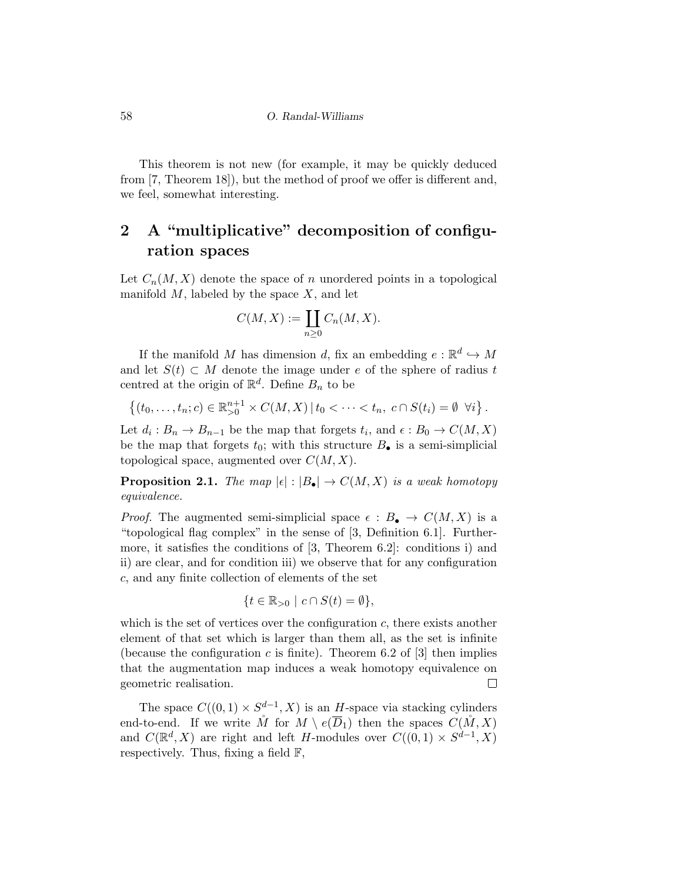This theorem is not new (for example, it may be quickly deduced from [7, Theorem 18]), but the method of proof we offer is different and, we feel, somewhat interesting.

## 2 A "multiplicative" decomposition of configuration spaces

Let  $C_n(M, X)$  denote the space of n unordered points in a topological manifold  $M$ , labeled by the space  $X$ , and let

$$
C(M, X) := \coprod_{n \geq 0} C_n(M, X).
$$

If the manifold M has dimension d, fix an embedding  $e : \mathbb{R}^d \hookrightarrow M$ and let  $S(t) \subset M$  denote the image under e of the sphere of radius t centred at the origin of  $\mathbb{R}^d$ . Define  $B_n$  to be

$$
\{(t_0, \ldots, t_n; c) \in \mathbb{R}^{n+1}_{>0} \times C(M, X) \, | \, t_0 < \cdots < t_n, \, c \cap S(t_i) = \emptyset \, \forall i \}.
$$

Let  $d_i: B_n \to B_{n-1}$  be the map that forgets  $t_i$ , and  $\epsilon: B_0 \to C(M, X)$ be the map that forgets  $t_0$ ; with this structure  $B_{\bullet}$  is a semi-simplicial topological space, augmented over  $C(M, X)$ .

**Proposition 2.1.** The map  $|\epsilon| : |B_{\bullet}| \to C(M, X)$  is a weak homotopy equivalence.

*Proof.* The augmented semi-simplicial space  $\epsilon : B_{\bullet} \to C(M, X)$  is a "topological flag complex" in the sense of [3, Definition 6.1]. Furthermore, it satisfies the conditions of [3, Theorem 6.2]: conditions i) and ii) are clear, and for condition iii) we observe that for any configuration c, and any finite collection of elements of the set

$$
\{t \in \mathbb{R}_{>0} \mid c \cap S(t) = \emptyset\},\
$$

which is the set of vertices over the configuration  $c$ , there exists another element of that set which is larger than them all, as the set is infinite (because the configuration c is finite). Theorem 6.2 of  $[3]$  then implies that the augmentation map induces a weak homotopy equivalence on geometric realisation.  $\Box$ 

The space  $C((0,1) \times S^{d-1}, X)$  is an H-space via stacking cylinders end-to-end. If we write  $\mathring{M}$  for  $M \setminus e(\overline{D}_1)$  then the spaces  $C(\mathring{M}, X)$ and  $C(\mathbb{R}^d, X)$  are right and left H-modules over  $C((0,1) \times S^{d-1}, X)$ respectively. Thus, fixing a field  $\mathbb{F}$ ,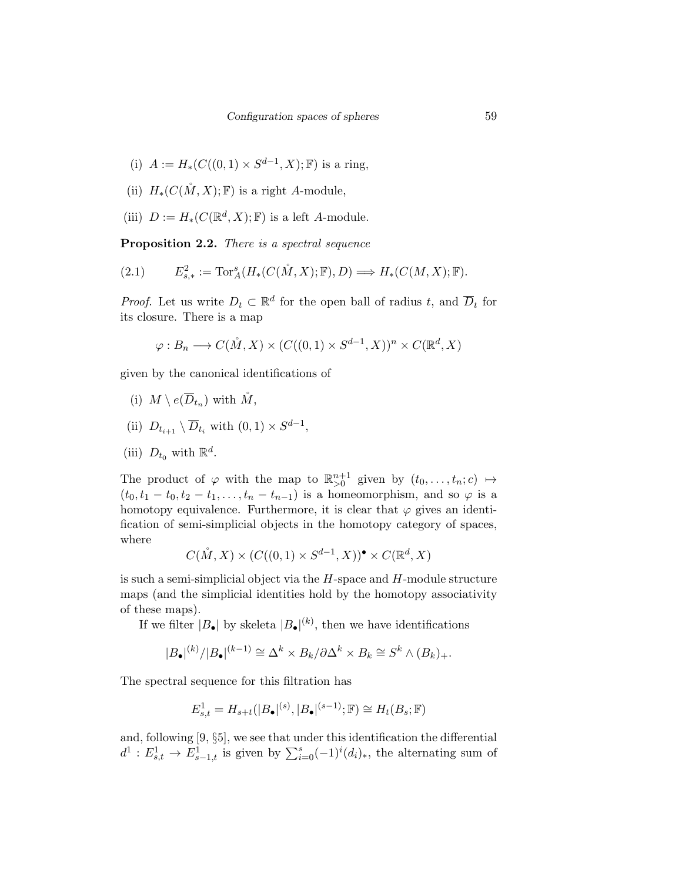- (i)  $A := H_*(C((0,1) \times S^{d-1}, X); \mathbb{F})$  is a ring,
- (ii)  $H_*(C(\mathring{M},X);\mathbb{F})$  is a right A-module,
- (iii)  $D := H_*(C(\mathbb{R}^d, X); \mathbb{F})$  is a left A-module.

Proposition 2.2. There is a spectral sequence

$$
(2.1) \tE_{s,*}^2 := \operatorname{Tor}_A^s(H_*(C(\mathring{M}, X); \mathbb{F}), D) \Longrightarrow H_*(C(M, X); \mathbb{F}).
$$

*Proof.* Let us write  $D_t \subset \mathbb{R}^d$  for the open ball of radius t, and  $\overline{D}_t$  for its closure. There is a map

$$
\varphi: B_n \longrightarrow C(\mathring{M}, X) \times (C((0, 1) \times S^{d-1}, X))^n \times C(\mathbb{R}^d, X)
$$

given by the canonical identifications of

- (i)  $M \setminus e(\overline{D}_{t_n})$  with  $\mathring{M}$ ,
- (ii)  $D_{t_{i+1}} \setminus \overline{D}_{t_i}$  with  $(0,1) \times S^{d-1}$ ,

(iii) 
$$
D_{t_0}
$$
 with  $\mathbb{R}^d$ .

The product of  $\varphi$  with the map to  $\mathbb{R}^{n+1}_{>0}$  given by  $(t_0,\ldots,t_n;c) \mapsto$  $(t_0, t_1 - t_0, t_2 - t_1, \ldots, t_n - t_{n-1})$  is a homeomorphism, and so  $\varphi$  is a homotopy equivalence. Furthermore, it is clear that  $\varphi$  gives an identification of semi-simplicial objects in the homotopy category of spaces, where

$$
C(\mathring{M}, X) \times (C((0, 1) \times S^{d-1}, X))^{\bullet} \times C(\mathbb{R}^d, X)
$$

is such a semi-simplicial object via the  $H$ -space and  $H$ -module structure maps (and the simplicial identities hold by the homotopy associativity of these maps).

If we filter  $|B_{\bullet}|$  by skeleta  $|B_{\bullet}|^{(k)}$ , then we have identifications

$$
|B_{\bullet}|^{(k)}/|B_{\bullet}|^{(k-1)} \cong \Delta^k \times B_k / \partial \Delta^k \times B_k \cong S^k \wedge (B_k)_+.
$$

The spectral sequence for this filtration has

$$
E_{s,t}^1 = H_{s+t}(|B_\bullet|^{(s)}, |B_\bullet|^{(s-1)}; \mathbb{F}) \cong H_t(B_s; \mathbb{F})
$$

and, following [9, §5], we see that under this identification the differential  $d^1: E^1_{s,t} \to E^1_{s-1,t}$  is given by  $\sum_{i=0}^s (-1)^i (d_i)_*,$  the alternating sum of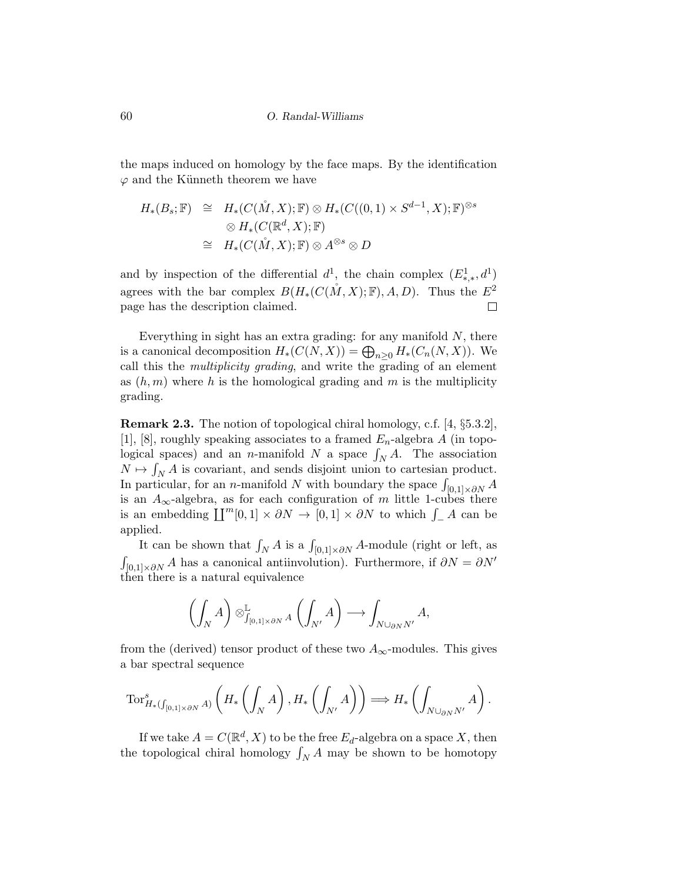the maps induced on homology by the face maps. By the identification  $\varphi$  and the Künneth theorem we have

$$
H_*(B_s; \mathbb{F}) \cong H_*(C(\mathring{M}, X); \mathbb{F}) \otimes H_*(C((0, 1) \times S^{d-1}, X); \mathbb{F})^{\otimes s}
$$
  

$$
\otimes H_*(C(\mathbb{R}^d, X); \mathbb{F})
$$
  

$$
\cong H_*(C(\mathring{M}, X); \mathbb{F}) \otimes A^{\otimes s} \otimes D
$$

and by inspection of the differential  $d^1$ , the chain complex  $(E^1_{*,*}, d^1)$ agrees with the bar complex  $B(H_*(C(M, X); \mathbb{F}), A, D)$ . Thus the  $E^2$ page has the description claimed.  $\Box$ 

Everything in sight has an extra grading: for any manifold  $N$ , there is a canonical decomposition  $H_*(C(N,X)) = \bigoplus_{n \geq 0} H_*(C_n(N,X)).$  We call this the multiplicity grading, and write the grading of an element as  $(h, m)$  where h is the homological grading and m is the multiplicity grading.

Remark 2.3. The notion of topological chiral homology, c.f. [4, §5.3.2], [1], [8], roughly speaking associates to a framed  $E_n$ -algebra A (in topological spaces) and an *n*-manifold N a space  $\int_N A$ . The association  $N \mapsto \int_N A$  is covariant, and sends disjoint union to cartesian product. In particular, for an *n*-manifold N with boundary the space  $\int_{[0,1]\times\partial N} A$ is an  $A_{\infty}$ -algebra, as for each configuration of m little 1-cubes there is an embedding  $\coprod^m[0,1] \times \partial N \to [0,1] \times \partial N$  to which  $\int_A A$  can be applied.

It can be shown that  $\int_N A$  is a  $\int_{[0,1]\times\partial N} A$ -module (right or left, as  $\int_{[0,1]\times\partial N} A$  has a canonical antiinvolution). Furthermore, if  $\partial N = \partial N'$ then there is a natural equivalence

$$
\left(\int_{N} A\right) \otimes_{\int_{[0,1] \times \partial N} A}^{\mathbb{L}} \left(\int_{N'} A\right) \longrightarrow \int_{N \cup_{\partial N} N'} A,
$$

from the (derived) tensor product of these two  $A_{\infty}$ -modules. This gives a bar spectral sequence

$$
\operatorname{Tor}^s_{H_*(\int_{[0,1]\times \partial N} A)}\left(H_*\left(\int _{N} A\right), H_*\left(\int _{N'} A\right)\right) \Longrightarrow H_*\left(\int _{N\cup_{\partial N} N'} A\right).
$$

If we take  $A = C(\mathbb{R}^d, X)$  to be the free  $E_d$ -algebra on a space X, then the topological chiral homology  $\int_N A$  may be shown to be homotopy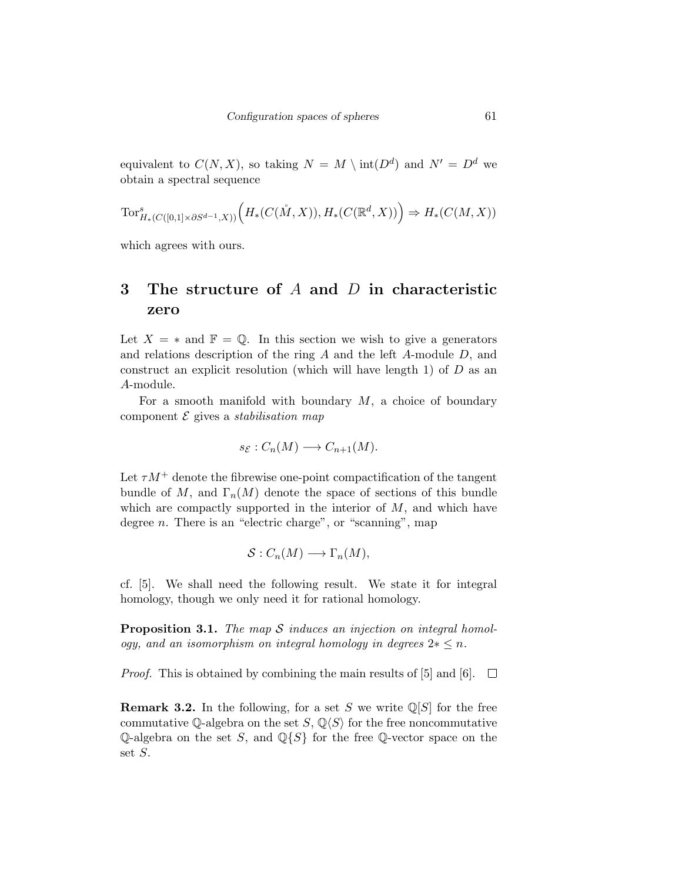equivalent to  $C(N, X)$ , so taking  $N = M \setminus int(D<sup>d</sup>)$  and  $N' = D<sup>d</sup>$  we obtain a spectral sequence

$$
\text{Tor}^s_{H_*(C([0,1]\times \partial S^{d-1},X))}\Big(H_*(C(\mathring M,X)),H_*(C(\mathbb R^d,X))\Big)\Rightarrow H_*(C(M,X))
$$

which agrees with ours.

## 3 The structure of  $A$  and  $D$  in characteristic zero

Let  $X = *$  and  $\mathbb{F} = \mathbb{Q}$ . In this section we wish to give a generators and relations description of the ring A and the left A-module D, and construct an explicit resolution (which will have length 1) of  $D$  as an A-module.

For a smooth manifold with boundary  $M$ , a choice of boundary component  $\mathcal E$  gives a *stabilisation map* 

$$
s_{\mathcal{E}}: C_n(M) \longrightarrow C_{n+1}(M).
$$

Let  $\tau M^+$  denote the fibrewise one-point compactification of the tangent bundle of M, and  $\Gamma_n(M)$  denote the space of sections of this bundle which are compactly supported in the interior of  $M$ , and which have degree *n*. There is an "electric charge", or "scanning", map

$$
\mathcal{S}: C_n(M) \longrightarrow \Gamma_n(M),
$$

cf. [5]. We shall need the following result. We state it for integral homology, though we only need it for rational homology.

**Proposition 3.1.** The map  $S$  induces an injection on integral homology, and an isomorphism on integral homology in degrees  $2 \times \leq n$ .

*Proof.* This is obtained by combining the main results of [5] and [6].  $\Box$ 

**Remark 3.2.** In the following, for a set S we write  $\mathbb{Q}[S]$  for the free commutative Q-algebra on the set S,  $\mathbb{Q}\langle S\rangle$  for the free noncommutative Q-algebra on the set S, and  $\mathbb{Q}{S}$  for the free Q-vector space on the set S.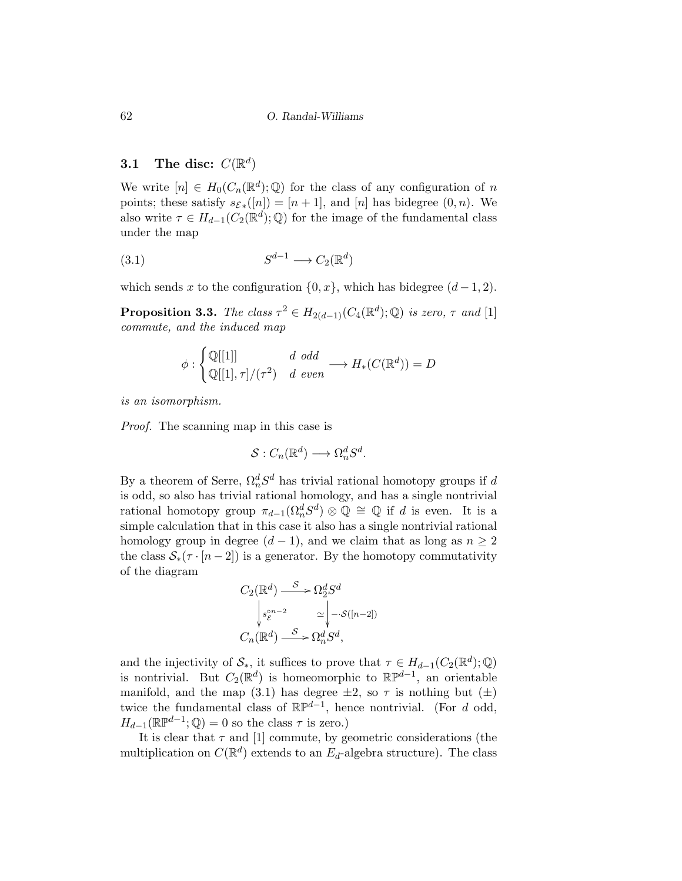## 3.1 The disc:  $C(\mathbb{R}^d)$

We write  $[n] \in H_0(C_n(\mathbb{R}^d); \mathbb{Q})$  for the class of any configuration of n points; these satisfy  $s_{\mathcal{E}_{*}}([n]) = [n+1]$ , and  $[n]$  has bidegree  $(0, n)$ . We also write  $\tau \in H_{d-1}(C_2(\mathbb{R}^d); \mathbb{Q})$  for the image of the fundamental class under the map

$$
(3.1) \t S^{d-1} \longrightarrow C_2(\mathbb{R}^d)
$$

which sends x to the configuration  $\{0, x\}$ , which has bidegree  $(d-1, 2)$ .

**Proposition 3.3.** The class  $\tau^2 \in H_{2(d-1)}(C_4(\mathbb{R}^d);\mathbb{Q})$  is zero,  $\tau$  and [1] commute, and the induced map

$$
\phi : \begin{cases} \mathbb{Q}[[1]] & d \text{ odd} \\ \mathbb{Q}[[1], \tau]/(\tau^2) & d \text{ even} \end{cases} \longrightarrow H_*(C(\mathbb{R}^d)) = D
$$

is an isomorphism.

Proof. The scanning map in this case is

$$
\mathcal{S}: C_n(\mathbb{R}^d) \longrightarrow \Omega_n^d S^d.
$$

By a theorem of Serre,  $\Omega_n^d S^d$  has trivial rational homotopy groups if d is odd, so also has trivial rational homology, and has a single nontrivial rational homotopy group  $\pi_{d-1}(\Omega_n^d S^d) \otimes \mathbb{Q} \cong \mathbb{Q}$  if d is even. It is a simple calculation that in this case it also has a single nontrivial rational homology group in degree  $(d-1)$ , and we claim that as long as  $n \geq 2$ the class  $S_*(\tau \cdot [n-2])$  is a generator. By the homotopy commutativity of the diagram

$$
C_2(\mathbb{R}^d) \xrightarrow{S} \Omega_2^d S^d
$$

$$
\downarrow^{s_{\mathcal{E}}^{cn-2}} \simeq \downarrow^{-\cdot \mathcal{S}([n-2])}
$$

$$
C_n(\mathbb{R}^d) \xrightarrow{S} \Omega_n^d S^d,
$$

and the injectivity of  $\mathcal{S}_{*}$ , it suffices to prove that  $\tau \in H_{d-1}(C_2(\mathbb{R}^d);\mathbb{Q})$ is nontrivial. But  $C_2(\mathbb{R}^d)$  is homeomorphic to  $\mathbb{RP}^{d-1}$ , an orientable manifold, and the map (3.1) has degree  $\pm 2$ , so  $\tau$  is nothing but ( $\pm$ ) twice the fundamental class of  $\mathbb{RP}^{d-1}$ , hence nontrivial. (For d odd,  $H_{d-1}(\mathbb{R} \mathbb{P}^{d-1}; \mathbb{Q}) = 0$  so the class  $\tau$  is zero.)

It is clear that  $\tau$  and [1] commute, by geometric considerations (the multiplication on  $C(\mathbb{R}^d)$  extends to an  $E_d$ -algebra structure). The class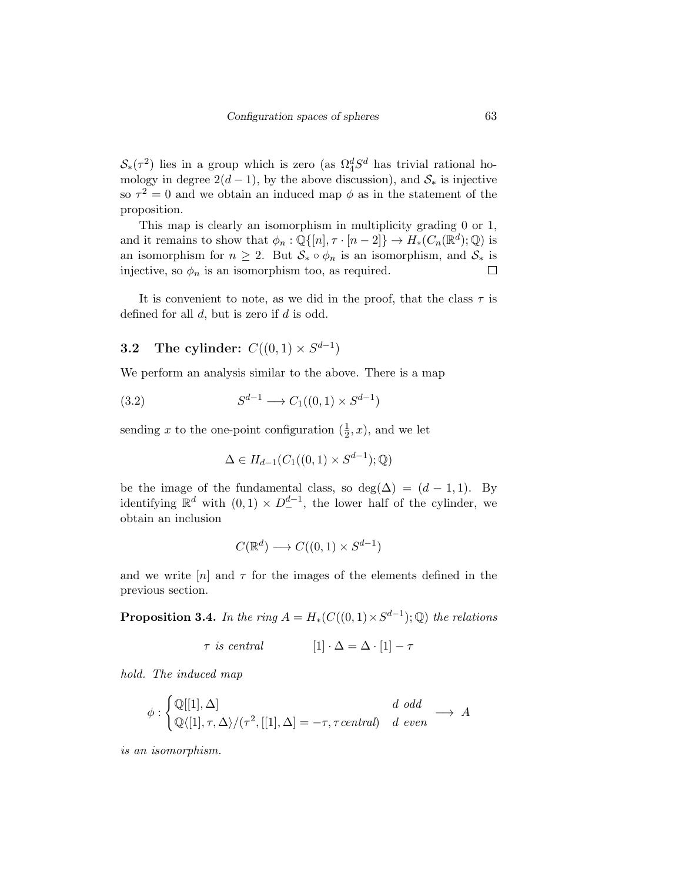$\mathcal{S}_{*}(\tau^2)$  lies in a group which is zero (as  $\Omega_4^d S^d$  has trivial rational homology in degree  $2(d-1)$ , by the above discussion), and  $S_*$  is injective so  $\tau^2 = 0$  and we obtain an induced map  $\phi$  as in the statement of the proposition.

This map is clearly an isomorphism in multiplicity grading 0 or 1, and it remains to show that  $\phi_n : \mathbb{Q}\{[n], \tau \cdot [n-2]\} \to H_*(C_n(\mathbb{R}^d); \mathbb{Q})$  is an isomorphism for  $n \geq 2$ . But  $S_* \circ \phi_n$  is an isomorphism, and  $S_*$  is injective, so  $\phi_n$  is an isomorphism too, as required.  $\Box$ 

It is convenient to note, as we did in the proof, that the class  $\tau$  is defined for all  $d$ , but is zero if  $d$  is odd.

#### **3.2** The cylinder:  $C((0,1) \times S^{d-1})$

We perform an analysis similar to the above. There is a map

$$
(3.2) \t S^{d-1} \longrightarrow C_1((0,1) \times S^{d-1})
$$

sending x to the one-point configuration  $(\frac{1}{2}, x)$ , and we let

$$
\Delta \in H_{d-1}(C_1((0,1) \times S^{d-1}); \mathbb{Q})
$$

be the image of the fundamental class, so deg( $\Delta$ ) = (d − 1, 1). By identifying  $\mathbb{R}^d$  with  $(0,1) \times D^{d-1}_-$ , the lower half of the cylinder, we obtain an inclusion

$$
C(\mathbb{R}^d) \longrightarrow C((0,1) \times S^{d-1})
$$

and we write  $[n]$  and  $\tau$  for the images of the elements defined in the previous section.

**Proposition 3.4.** In the ring  $A = H_*(C((0,1) \times S^{d-1}); \mathbb{Q})$  the relations

$$
\tau \text{ is central} \qquad [1] \cdot \Delta = \Delta \cdot [1] - \tau
$$

hold. The induced map

$$
\phi : \begin{cases} \mathbb{Q}[[1], \Delta] & d \text{ odd} \\ \mathbb{Q}\langle [1], \tau, \Delta \rangle / (\tau^2, [[1], \Delta] = -\tau, \tau \text{ central}) & d \text{ even} \end{cases} \longrightarrow A
$$

is an isomorphism.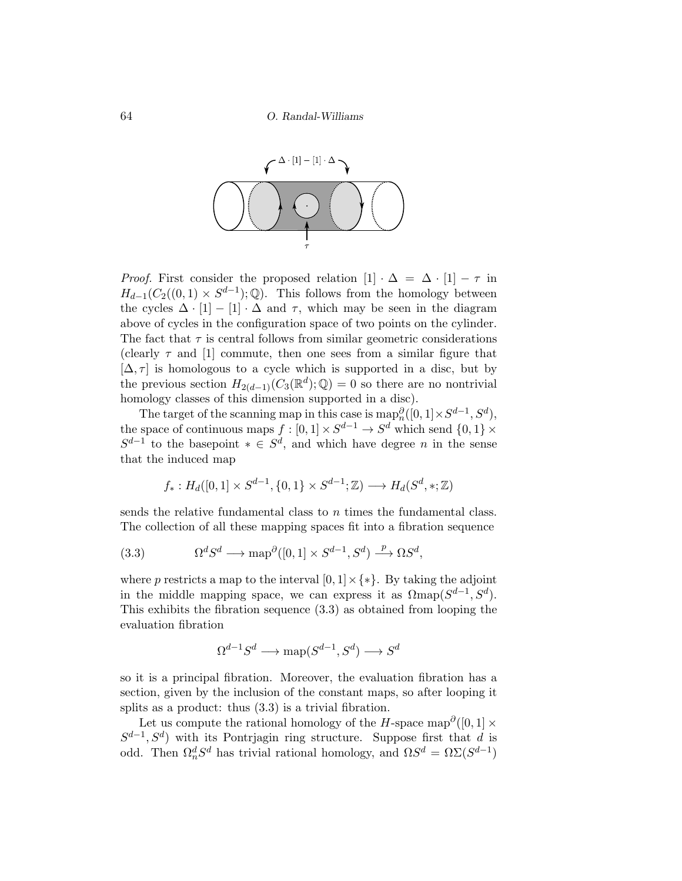

*Proof.* First consider the proposed relation  $[1] \cdot \Delta = \Delta \cdot [1] - \tau$  in  $H_{d-1}(C_2((0,1) \times S^{d-1});\mathbb{Q})$ . This follows from the homology between the cycles  $\Delta \cdot [1] - [1] \cdot \Delta$  and  $\tau$ , which may be seen in the diagram above of cycles in the configuration space of two points on the cylinder. The fact that  $\tau$  is central follows from similar geometric considerations (clearly  $\tau$  and [1] commute, then one sees from a similar figure that  $[\Delta, \tau]$  is homologous to a cycle which is supported in a disc, but by the previous section  $H_{2(d-1)}(C_3(\mathbb{R}^d); \mathbb{Q}) = 0$  so there are no nontrivial homology classes of this dimension supported in a disc).

The target of the scanning map in this case is  $\text{map}_n^{\partial}([0,1] \times S^{d-1}, S^d)$ , the space of continuous maps  $f : [0,1] \times S^{d-1} \to S^d$  which send  $\{0,1\} \times$  $S^{d-1}$  to the basepoint  $* \in S^d$ , and which have degree *n* in the sense that the induced map

$$
f_*: H_d([0,1] \times S^{d-1}, \{0,1\} \times S^{d-1}; \mathbb{Z}) \longrightarrow H_d(S^d, *, \mathbb{Z})
$$

sends the relative fundamental class to n times the fundamental class. The collection of all these mapping spaces fit into a fibration sequence

(3.3) 
$$
\Omega^d S^d \longrightarrow \text{map}^{\partial}([0,1] \times S^{d-1}, S^d) \stackrel{p}{\longrightarrow} \Omega S^d,
$$

where p restricts a map to the interval  $[0, 1] \times \{*\}$ . By taking the adjoint in the middle mapping space, we can express it as  $\Omega$ map $(S^{d-1}, S^d)$ . This exhibits the fibration sequence (3.3) as obtained from looping the evaluation fibration

$$
\Omega^{d-1}S^d \longrightarrow \text{map}(S^{d-1}, S^d) \longrightarrow S^d
$$

so it is a principal fibration. Moreover, the evaluation fibration has a section, given by the inclusion of the constant maps, so after looping it splits as a product: thus  $(3.3)$  is a trivial fibration.

Let us compute the rational homology of the H-space map<sup>∂</sup>([0, 1]  $\times$  $S^{d-1}, S^d$ ) with its Pontrjagin ring structure. Suppose first that d is odd. Then  $\Omega_n^d S^d$  has trivial rational homology, and  $\Omega S^d = \Omega \Sigma (S^{d-1})$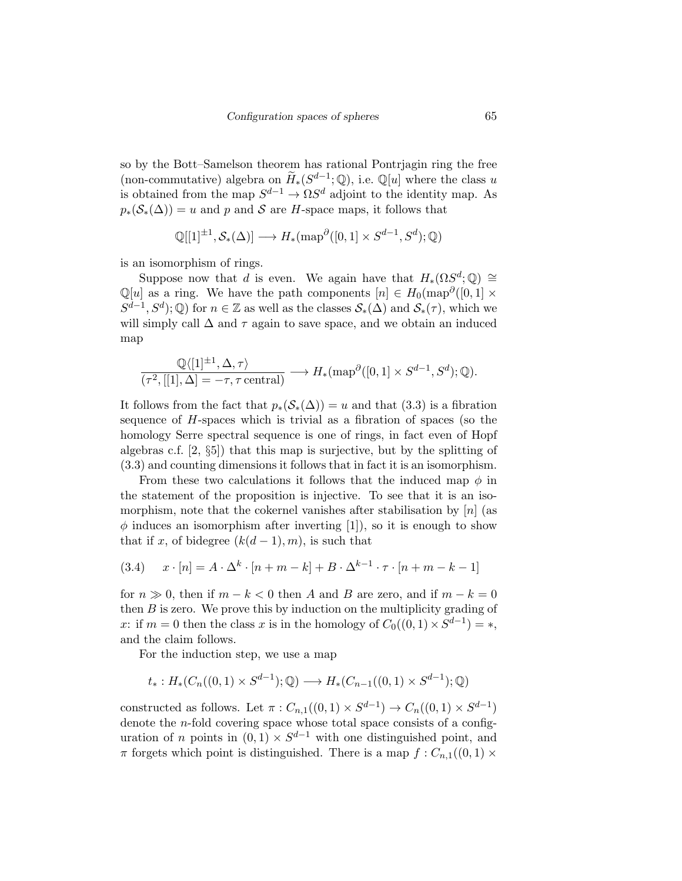so by the Bott–Samelson theorem has rational Pontrjagin ring the free (non-commutative) algebra on  $\widetilde{H}_*(S^{d-1};\mathbb{Q})$ , i.e.  $\mathbb{Q}[u]$  where the class u is obtained from the map  $S^{d-1} \to \Omega S^d$  adjoint to the identity map. As  $p_*(\mathcal{S}_*(\Delta)) = u$  and p and S are H-space maps, it follows that

$$
\mathbb{Q}[[1]^{\pm 1}, \mathcal{S}_*(\Delta)] \longrightarrow H_*(\text{map}^{\partial}([0,1] \times S^{d-1}, S^d); \mathbb{Q})
$$

is an isomorphism of rings.

Suppose now that d is even. We again have that  $H_*(\Omega S^d; \mathbb{Q}) \cong$  $\mathbb{Q}[u]$  as a ring. We have the path components  $[n] \in H_0(\text{map}^{\partial}([0,1] \times$  $S^{d-1}, S^d$ ;  $\mathbb Q$ ) for  $n \in \mathbb Z$  as well as the classes  $\mathcal{S}_*(\Delta)$  and  $\mathcal{S}_*(\tau)$ , which we will simply call  $\Delta$  and  $\tau$  again to save space, and we obtain an induced map

$$
\frac{\mathbb{Q}\langle [1]^{\pm 1}, \Delta, \tau\rangle}{(\tau^2, [[1], \Delta] = -\tau, \tau \text{ central})} \longrightarrow H_*(\text{map}^{\partial}([0, 1] \times S^{d-1}, S^d); \mathbb{Q}).
$$

It follows from the fact that  $p_*(S_*(\Delta)) = u$  and that (3.3) is a fibration sequence of H-spaces which is trivial as a fibration of spaces (so the homology Serre spectral sequence is one of rings, in fact even of Hopf algebras c.f. [2, §5]) that this map is surjective, but by the splitting of (3.3) and counting dimensions it follows that in fact it is an isomorphism.

From these two calculations it follows that the induced map  $\phi$  in the statement of the proposition is injective. To see that it is an isomorphism, note that the cokernel vanishes after stabilisation by  $[n]$  (as  $\phi$  induces an isomorphism after inverting [1]), so it is enough to show that if x, of bidegree  $(k(d-1), m)$ , is such that

(3.4) 
$$
x \cdot [n] = A \cdot \Delta^k \cdot [n+m-k] + B \cdot \Delta^{k-1} \cdot \tau \cdot [n+m-k-1]
$$

for  $n \gg 0$ , then if  $m - k < 0$  then A and B are zero, and if  $m - k = 0$ then  $B$  is zero. We prove this by induction on the multiplicity grading of x: if  $m = 0$  then the class x is in the homology of  $C_0((0,1) \times S^{d-1}) = *$ , and the claim follows.

For the induction step, we use a map

$$
t_*: H_*(C_n((0,1) \times S^{d-1}); \mathbb{Q}) \longrightarrow H_*(C_{n-1}((0,1) \times S^{d-1}); \mathbb{Q})
$$

constructed as follows. Let  $\pi: C_{n,1}((0,1) \times S^{d-1}) \to C_n((0,1) \times S^{d-1})$ denote the *n*-fold covering space whose total space consists of a configuration of n points in  $(0,1) \times S^{d-1}$  with one distinguished point, and  $\pi$  forgets which point is distinguished. There is a map  $f: C_{n,1}((0,1) \times$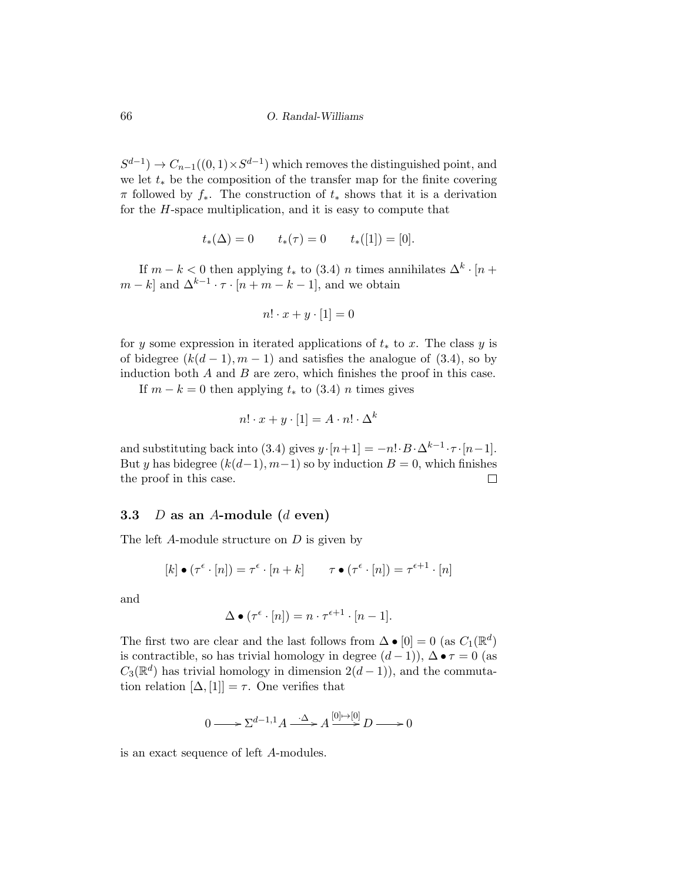$S^{d-1}$   $\rightarrow$   $C_{n-1}((0,1) \times S^{d-1})$  which removes the distinguished point, and we let  $t_*$  be the composition of the transfer map for the finite covering  $\pi$  followed by  $f_*$ . The construction of  $t_*$  shows that it is a derivation for the  $H$ -space multiplication, and it is easy to compute that

$$
t_*(\Delta) = 0
$$
  $t_*(\tau) = 0$   $t_*([1]) = [0].$ 

If  $m - k < 0$  then applying  $t_*$  to  $(3.4)$  n times annihilates  $\Delta^k \cdot [n +$  $m - k$  and  $\Delta^{k-1} \cdot \tau \cdot [n + m - k - 1]$ , and we obtain

$$
n! \cdot x + y \cdot [1] = 0
$$

for y some expression in iterated applications of  $t_*$  to x. The class y is of bidegree  $(k(d-1), m-1)$  and satisfies the analogue of (3.4), so by induction both  $A$  and  $B$  are zero, which finishes the proof in this case.

If  $m - k = 0$  then applying  $t_*$  to (3.4) *n* times gives

$$
n! \cdot x + y \cdot [1] = A \cdot n! \cdot \Delta^k
$$

and substituting back into (3.4) gives  $y \cdot [n+1] = -n! \cdot B \cdot \Delta^{k-1} \cdot \tau \cdot [n-1]$ . But y has bidegree  $(k(d-1), m-1)$  so by induction  $B = 0$ , which finishes the proof in this case.  $\Box$ 

#### 3.3  $D$  as an A-module (d even)

The left A-module structure on D is given by

$$
[k] \bullet (\tau^{\epsilon} \cdot [n]) = \tau^{\epsilon} \cdot [n+k] \qquad \tau \bullet (\tau^{\epsilon} \cdot [n]) = \tau^{\epsilon+1} \cdot [n]
$$

and

$$
\Delta \bullet (\tau^{\epsilon} \cdot [n]) = n \cdot \tau^{\epsilon+1} \cdot [n-1].
$$

The first two are clear and the last follows from  $\Delta \bullet [0] = 0$  (as  $C_1(\mathbb{R}^d)$ is contractible, so has trivial homology in degree  $(d-1)$ ),  $\Delta \bullet \tau = 0$  (as  $C_3(\mathbb{R}^d)$  has trivial homology in dimension  $2(d-1)$ , and the commutation relation  $[\Delta, [1]] = \tau$ . One verifies that

$$
0 \longrightarrow \Sigma^{d-1,1} A \xrightarrow{\cdot \Delta} A \overset{[0] \rightarrow [0]}{\longrightarrow} D \longrightarrow 0
$$

is an exact sequence of left A-modules.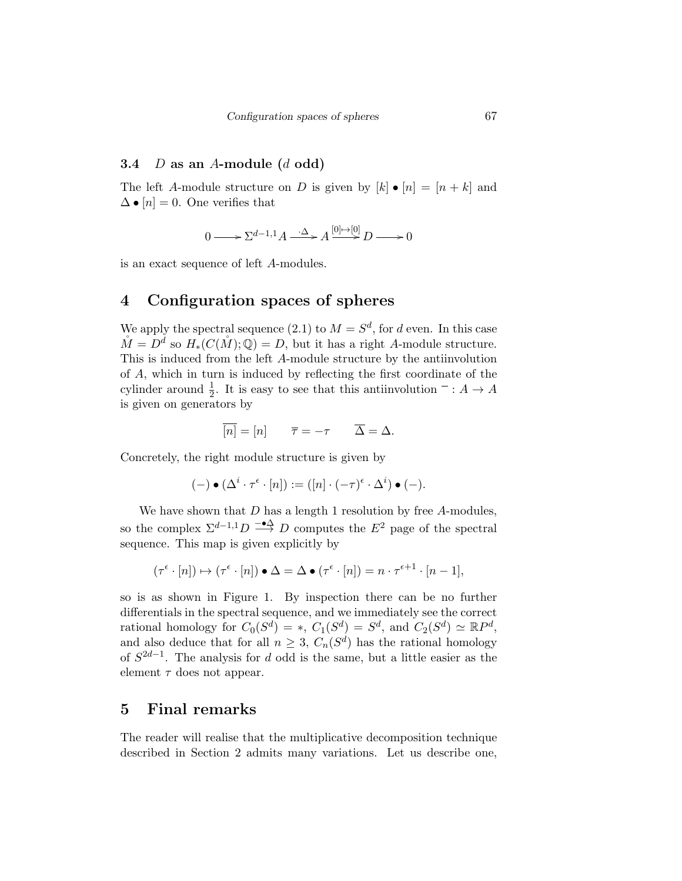#### 3.4  $D$  as an A-module  $(d \text{ odd})$

The left A-module structure on D is given by  $[k] \bullet [n] = [n+k]$  and  $\Delta \bullet [n] = 0$ . One verifies that

$$
0 \longrightarrow \sum^{d-1,1} A \xrightarrow{\cdot \Delta} A \xrightarrow{[0] \mapsto [0]} D \longrightarrow 0
$$

is an exact sequence of left A-modules.

## 4 Configuration spaces of spheres

We apply the spectral sequence (2.1) to  $M = S^d$ , for d even. In this case  $\mathring{M} = D^d$  so  $H_*(C(\mathring{M}); \mathbb{Q}) = D$ , but it has a right A-module structure. This is induced from the left A-module structure by the antiinvolution of A, which in turn is induced by reflecting the first coordinate of the cylinder around  $\frac{1}{2}$ . It is easy to see that this antiinvolution  $\overline{\phantom{a}}: A \to A$ is given on generators by

$$
\overline{[n]} = [n] \qquad \overline{\tau} = -\tau \qquad \overline{\Delta} = \Delta.
$$

Concretely, the right module structure is given by

$$
(-)\bullet (\Delta^i\cdot \tau^\epsilon\cdot [n]):=([n]\cdot (-\tau)^\epsilon\cdot \Delta^i)\bullet (-).
$$

We have shown that  $D$  has a length 1 resolution by free  $A$ -modules, so the complex  $\Sigma^{d-1,1}D \stackrel{-\bullet\Delta}{\longrightarrow} D$  computes the  $E^2$  page of the spectral sequence. This map is given explicitly by

$$
(\tau^{\epsilon} \cdot [n]) \mapsto (\tau^{\epsilon} \cdot [n]) \bullet \Delta = \Delta \bullet (\tau^{\epsilon} \cdot [n]) = n \cdot \tau^{\epsilon+1} \cdot [n-1],
$$

so is as shown in Figure 1. By inspection there can be no further differentials in the spectral sequence, and we immediately see the correct rational homology for  $C_0(S^d) = *$ ,  $C_1(S^d) = S^d$ , and  $C_2(S^d) \simeq \mathbb{R}P^d$ , and also deduce that for all  $n \geq 3$ ,  $C_n(S^d)$  has the rational homology of  $S^{2d-1}$ . The analysis for d odd is the same, but a little easier as the element  $\tau$  does not appear.

#### 5 Final remarks

The reader will realise that the multiplicative decomposition technique described in Section 2 admits many variations. Let us describe one,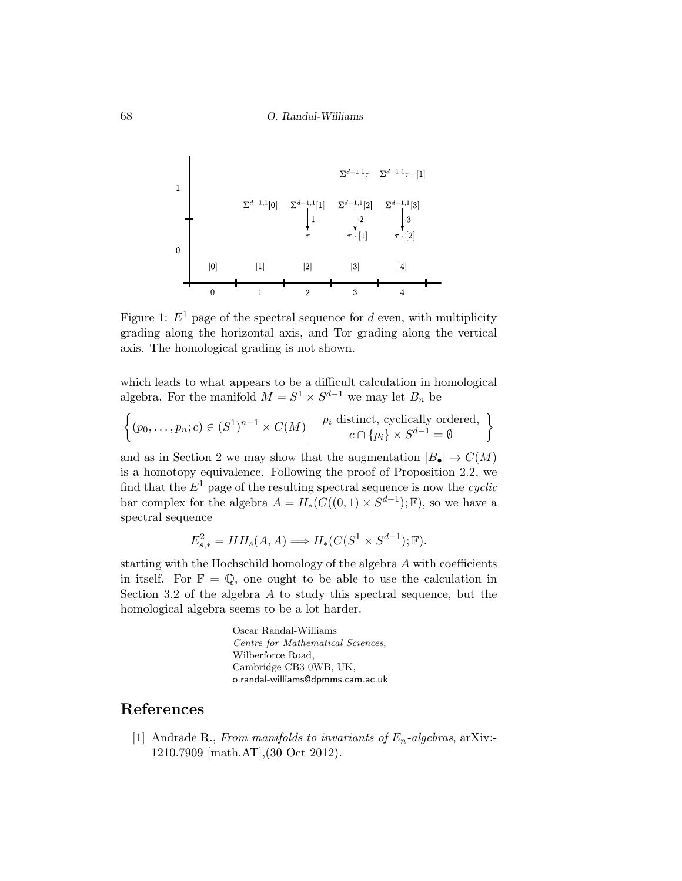

Figure 1:  $E^1$  page of the spectral sequence for d even, with multiplicity grading along the horizontal axis, and Tor grading along the vertical axis. The homological grading is not shown.

which leads to what appears to be a difficult calculation in homological algebra. For the manifold  $M = S^1 \times S^{d-1}$  we may let  $B_n$  be

$$
\left\{ (p_0, \ldots, p_n; c) \in (S^1)^{n+1} \times C(M) \middle| \quad p_i \text{ distinct, cyclically ordered,} \atop c \cap \{p_i\} \times S^{d-1} = \emptyset \right\}
$$

and as in Section 2 we may show that the augmentation  $|B_{\bullet}| \to C(M)$ is a homotopy equivalence. Following the proof of Proposition 2.2, we find that the  $E^1$  page of the resulting spectral sequence is now the *cyclic* bar complex for the algebra  $A = H_*(C((0,1) \times S^{d-1}); \mathbb{F})$ , so we have a spectral sequence

$$
E_{s,*}^2 = HH_s(A,A) \Longrightarrow H_*(C(S^1 \times S^{d-1});\mathbb{F}).
$$

starting with the Hochschild homology of the algebra A with coefficients in itself. For  $\mathbb{F} = \mathbb{Q}$ , one ought to be able to use the calculation in Section 3.2 of the algebra A to study this spectral sequence, but the homological algebra seems to be a lot harder.

> Oscar Randal-Williams Centre for Mathematical Sciences, Wilberforce Road, Cambridge CB3 0WB, UK, o.randal-williams@dpmms.cam.ac.uk

### References

[1] Andrade R., From manifolds to invariants of  $E_n$ -algebras, arXiv:-1210.7909 [math.AT],(30 Oct 2012).